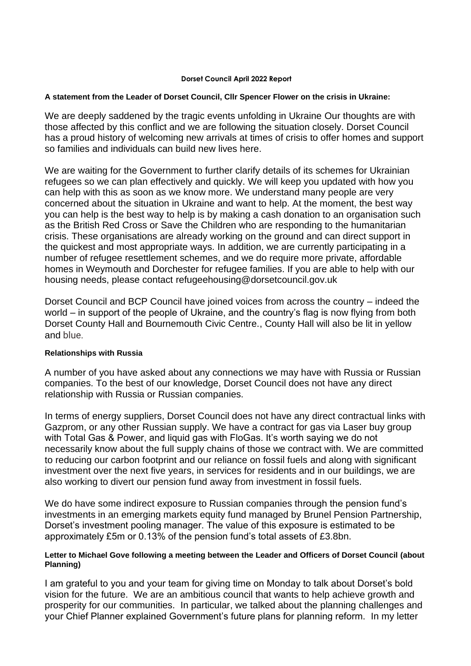#### **Dorset Council April 2022 Report**

#### **A statement from the Leader of Dorset Council, Cllr Spencer Flower on the crisis in Ukraine:**

We are deeply saddened by the tragic events unfolding in Ukraine Our thoughts are with those affected by this conflict and we are following the situation closely. Dorset Council has a proud history of welcoming new arrivals at times of crisis to offer homes and support so families and individuals can build new lives here.

We are waiting for the Government to further clarify details of its schemes for Ukrainian refugees so we can plan effectively and quickly. We will keep you updated with how you can help with this as soon as we know more. We understand many people are very concerned about the situation in Ukraine and want to help. At the moment, the best way you can help is the best way to help is by making a cash donation to an organisation such as the British Red Cross or Save the Children who are responding to the humanitarian crisis. These organisations are already working on the ground and can direct support in the quickest and most appropriate ways. In addition, we are currently participating in a number of refugee resettlement schemes, and we do require more private, affordable homes in Weymouth and Dorchester for refugee families. If you are able to help with our housing needs, please contact [refugeehousing@dorsetcouncil.gov.uk](mailto:refugeehousing@dorsetcouncil.gov.uk)

Dorset Council and BCP Council have joined voices from across the country – indeed the world – in support of the people of Ukraine, and the country's flag is now flying from both Dorset County Hall and Bournemouth Civic Centre., County Hall will also be lit in yellow and blue.

## **Relationships with Russia**

A number of you have asked about any connections we may have with Russia or Russian companies. To the best of our knowledge, Dorset Council does not have any direct relationship with Russia or Russian companies.

In terms of energy suppliers, Dorset Council does not have any direct contractual links with Gazprom, or any other Russian supply. We have a contract for gas via Laser buy group with Total Gas & Power, and liquid gas with FloGas. It's worth saying we do not necessarily know about the full supply chains of those we contract with. We are committed to reducing our carbon footprint and our reliance on fossil fuels and along with significant investment over the next five years, in services for residents and in our buildings, we are also working to divert our pension fund away from investment in fossil fuels.

We do have some indirect exposure to Russian companies through the pension fund's investments in an emerging markets equity fund managed by Brunel Pension Partnership, Dorset's investment pooling manager. The value of this exposure is estimated to be approximately £5m or 0.13% of the pension fund's total assets of £3.8bn.

## **Letter to Michael Gove following a meeting between the Leader and Officers of Dorset Council (about Planning)**

I am grateful to you and your team for giving time on Monday to talk about Dorset's bold vision for the future. We are an ambitious council that wants to help achieve growth and prosperity for our communities. In particular, we talked about the planning challenges and your Chief Planner explained Government's future plans for planning reform. In my letter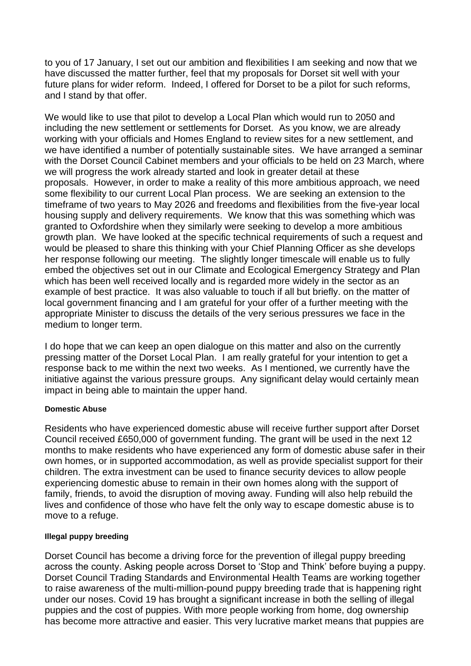to you of 17 January, I set out our ambition and flexibilities I am seeking and now that we have discussed the matter further, feel that my proposals for Dorset sit well with your future plans for wider reform. Indeed, I offered for Dorset to be a pilot for such reforms, and I stand by that offer.

We would like to use that pilot to develop a Local Plan which would run to 2050 and including the new settlement or settlements for Dorset. As you know, we are already working with your officials and Homes England to review sites for a new settlement, and we have identified a number of potentially sustainable sites. We have arranged a seminar with the Dorset Council Cabinet members and your officials to be held on 23 March, where we will progress the work already started and look in greater detail at these proposals. However, in order to make a reality of this more ambitious approach, we need some flexibility to our current Local Plan process. We are seeking an extension to the timeframe of two years to May 2026 and freedoms and flexibilities from the five-year local housing supply and delivery requirements. We know that this was something which was granted to Oxfordshire when they similarly were seeking to develop a more ambitious growth plan. We have looked at the specific technical requirements of such a request and would be pleased to share this thinking with your Chief Planning Officer as she develops her response following our meeting. The slightly longer timescale will enable us to fully embed the objectives set out in our Climate and Ecological Emergency Strategy and Plan which has been well received locally and is regarded more widely in the sector as an example of best practice. It was also valuable to touch if all but briefly. on the matter of local government financing and I am grateful for your offer of a further meeting with the appropriate Minister to discuss the details of the very serious pressures we face in the medium to longer term.

I do hope that we can keep an open dialogue on this matter and also on the currently pressing matter of the Dorset Local Plan. I am really grateful for your intention to get a response back to me within the next two weeks. As I mentioned, we currently have the initiative against the various pressure groups. Any significant delay would certainly mean impact in being able to maintain the upper hand.

## **Domestic Abuse**

Residents who have experienced domestic abuse will receive further support after Dorset Council received £650,000 of government funding. The grant will be used in the next 12 months to make residents who have experienced any form of domestic abuse safer in their own homes, or in supported accommodation, as well as provide specialist support for their children. The extra [investment](http://www.thisismoneyback.co.uk/money.php) can be used to finance security devices to allow people experiencing domestic abuse to remain in their own homes along with the support of family, friends, to avoid the disruption of moving away. Funding will also help rebuild the lives and confidence of those who have felt the only way to escape domestic abuse is to move to a refuge.

## **Illegal puppy breeding**

Dorset Council has become a driving force for the prevention of illegal puppy breeding across the county. Asking people across Dorset to 'Stop and Think' before buying a puppy. Dorset Council Trading Standards and Environmental Health Teams are working together to raise awareness of the multi-million-pound puppy breeding trade that is happening right under our noses. Covid 19 has brought a significant increase in both the selling of illegal puppies and the cost of puppies. With more people working from home, dog ownership has become more attractive and easier. This very lucrative market means that puppies are